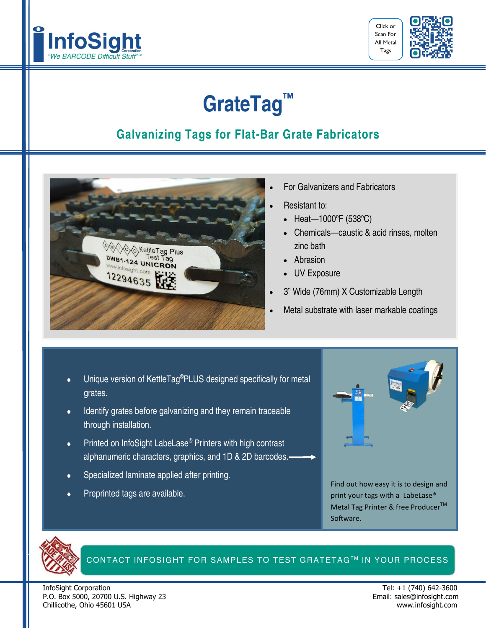



## **GrateTag™**

### **Galvanizing Tags for Flat-Bar Grate Fabricators**



- For Galvanizers and Fabricators
- Resistant to:
	- Heat-1000°F (538°C)
	- Chemicals—caustic & acid rinses, molten zinc bath
	- Abrasion
	- UV Exposure
- 3" Wide (76mm) X Customizable Length
- Metal substrate with laser markable coatings
- Unique version of KettleTag®PLUS designed specifically for metal grates.
- Identify grates before galvanizing and they remain traceable through installation.
- Printed on InfoSight LabeLase® Printers with high contrast alphanumeric characters, graphics, and 1D & 2D barcodes.
- Specialized laminate applied after printing.
- Preprinted tags are available.



Find out how easy it is to design and print your tags with a LabeLase® Metal Tag Printer & free Producer<sup>™</sup> Software.



#### CONTACT INFOSIGHT FOR SAMPLES TO TEST GRATETAG™ IN YOUR PROCESS